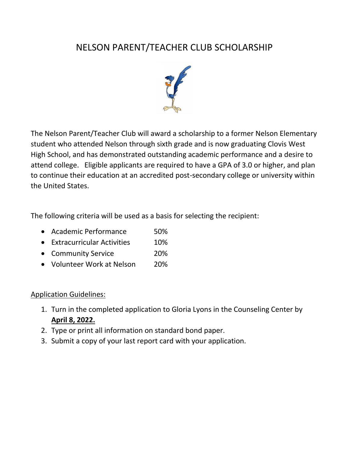# NELSON PARENT/TEACHER CLUB SCHOLARSHIP



The Nelson Parent/Teacher Club will award a scholarship to a former Nelson Elementary student who attended Nelson through sixth grade and is now graduating Clovis West High School, and has demonstrated outstanding academic performance and a desire to attend college. Eligible applicants are required to have a GPA of 3.0 or higher, and plan to continue their education at an accredited post-secondary college or university within the United States.

The following criteria will be used as a basis for selecting the recipient:

- Academic Performance 50%
- Extracurricular Activities 10%
- Community Service 20%
- Volunteer Work at Nelson 20%

#### Application Guidelines:

- 1. Turn in the completed application to Gloria Lyons in the Counseling Center by **April 8, 2022.**
- 2. Type or print all information on standard bond paper.
- 3. Submit a copy of your last report card with your application.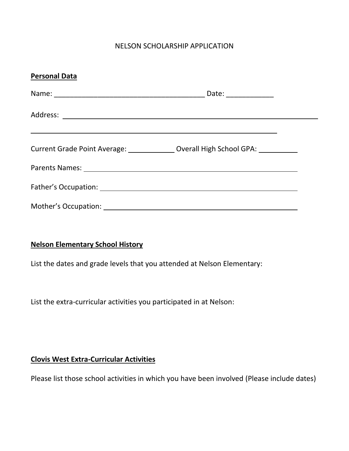#### NELSON SCHOLARSHIP APPLICATION

| <b>Personal Data</b> |                                                                                  |  |
|----------------------|----------------------------------------------------------------------------------|--|
|                      | Date: ______________                                                             |  |
|                      |                                                                                  |  |
|                      | Current Grade Point Average: _______________ Overall High School GPA: __________ |  |
|                      |                                                                                  |  |
|                      |                                                                                  |  |
|                      |                                                                                  |  |

#### **Nelson Elementary School History**

List the dates and grade levels that you attended at Nelson Elementary:

List the extra-curricular activities you participated in at Nelson:

#### **Clovis West Extra-Curricular Activities**

Please list those school activities in which you have been involved (Please include dates)